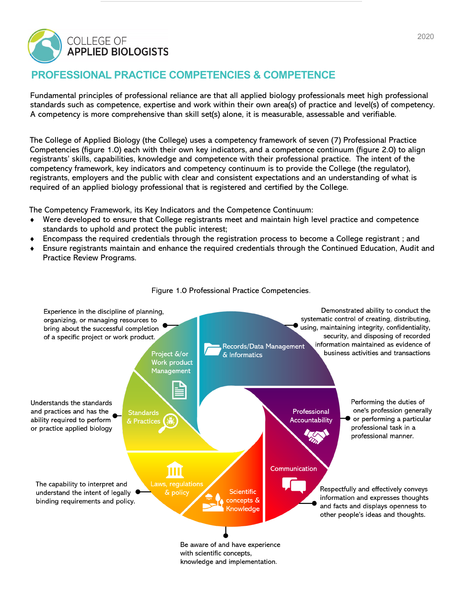

# **PROFESSIONAL PRACTICE COMPETENCIES & COMPETENCE**

Fundamental principles of professional reliance are that all applied biology professionals meet high professional standards such as competence, expertise and work within their own area(s) of practice and level(s) of competency. A competency is more comprehensive than skill set(s) alone, it is measurable, assessable and verifiable.

The College of Applied Biology (the College) uses a competency framework of seven (7) Professional Practice Competencies (figure 1.0) each with their own key indicators, and a competence continuum (figure 2.0) to align registrants' skills, capabilities, knowledge and competence with their professional practice. The intent of the competency framework, key indicators and competency continuum is to provide the College (the regulator), registrants, employers and the public with clear and consistent expectations and an understanding of what is required of an applied biology professional that is registered and certified by the College.

The Competency Framework, its Key Indicators and the Competence Continuum:

- Were developed to ensure that College registrants meet and maintain high level practice and competence standards to uphold and protect the public interest;
- Encompass the required credentials through the registration process to become a College registrant ; and
- Ensure registrants maintain and enhance the required credentials through the Continued Education, Audit and Practice Review Programs.



Figure 1.0 Professional Practice Competencies.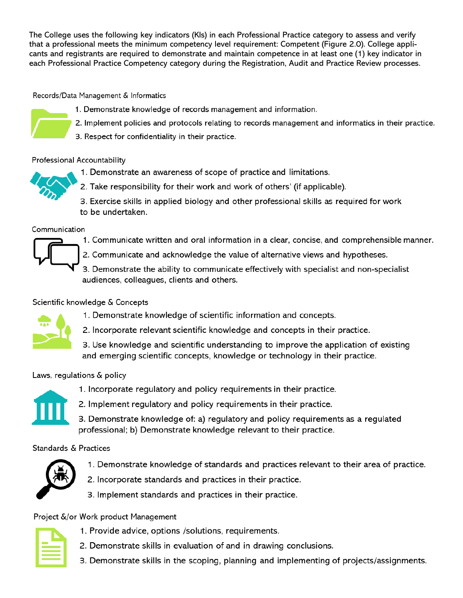The College uses the following key indicators (Kls) in each Professional Practice category to assess and verify that a professional meets the minimum competency level requirement: Competent (Figure 2.0). College applicants and registrants are required to demonstrate and maintain competence in at least one (1) key indicator in each Professional Practice Competency category during the Registration, Audit and Practice Review processes.

Records/Data Management & Informatics

- 1. Demonstrate knowledge of records management and information.
- 2. Implement policies and protocols relating to records management and informatics in their practice.
- 3. Respect for confidentiality in their practice.

# Professional Accountability

- 1. Demonstrate an awareness of scope of practice and limitations.
- 2. Take responsibility for their work and work of others' (if applicable).
- 3. Exercise skills in applied biology and other professional skills as required for work to be undertaken.

#### Communication

- 1. Communicate written and oral information in a clear, concise, and comprehensible manner.
- 2. Communicate and acknowledge the value of alternative views and hypotheses.
- 3. Demonstrate the ability to communicate effectively with specialist and non-specialist audiences, colleagues, clients and others.

# Scientific knowledge & Concepts

- 1. Demonstrate knowledge of scientific information and concepts.
- 2. Incorporate relevant scientific knowledge and concepts in their practice.
- 3. Use knowledge and scientific understanding to improve the application of existing and emerging scientific concepts, knowledge or technology in their practice.

# Laws, regulations & policy



- 1. Incorporate regulatory and policy requirements in their practice.
- 2. Implement regulatory and policy requirements in their practice.
- 3. Demonstrate knowledge of: a) regulatory and policy requirements as a regulated professional; b) Demonstrate knowledge relevant to their practice.

# Standards & Practices



- 1. Demonstrate knowledge of standards and practices relevant to their area of practice.
- 2. Incorporate standards and practices in their practice.
- 3. Implement standards and practices in their practice.

# Project &/or Work product Management

- 1. Provide advice, options /solutions, requirements.
- 2. Demonstrate skills in evaluation of and in drawing conclusions.
- 3. Demonstrate skills in the scoping, planning and implementing of projects/assignments.